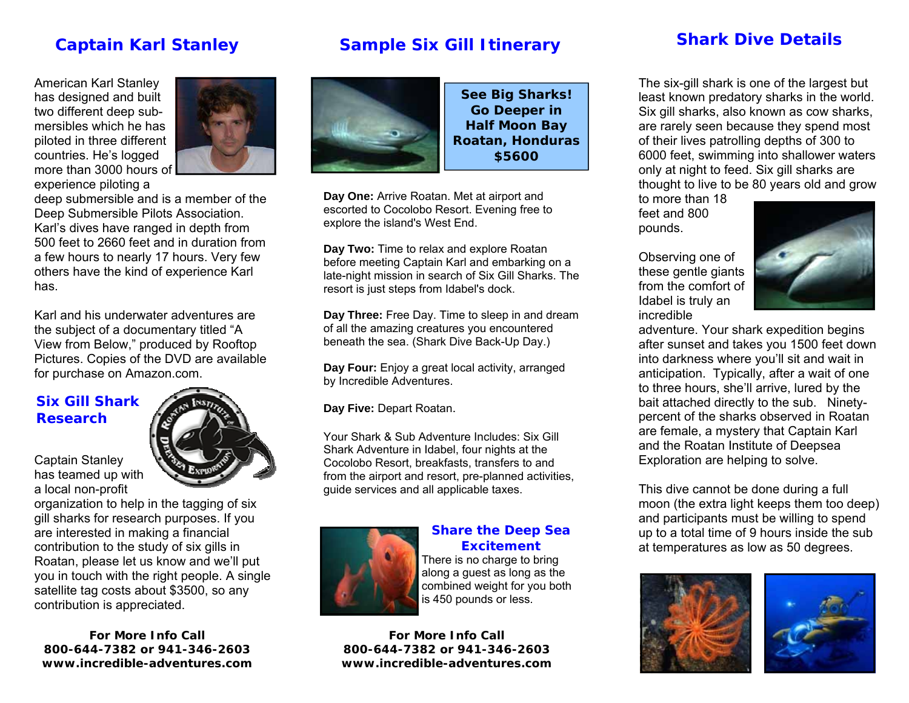### **Captain Karl Stanley**

#### American Karl Stanley has designed and built two different deep submersibles which he has piloted in three different countries. He's logged more than 3000 hours of experience piloting a



deep submersible and is a member of the Deep Submersible Pilots Association. Karl's dives have ranged in depth from 500 feet to 2660 feet and in duration from a few hours to nearly 17 hours. Very few others have the kind of experience Karl has.

Karl and his underwater adventures are the subject of a documentary titled "A View from Below," produced by Rooftop Pictures. Copies of the DVD are available for purchase on Amazon.com.

#### **Six Gill Shark Research**

has teamed up with a local non-profit



Captain Stanley

organization to help in the tagging of six gill sharks for research purposes. If you are interested in making a financial contribution to the study of six gills in Roatan, please let us know and we'll put you in touch with the right people. A single satellite tag costs about \$3500, so any contribution is appreciated.

**For More Info Call 800-644-7382 or 941-346-2603 www.incredible-adventures.com** 

## **Sample Six Gill Itinerary**



**See Big Sharks! Go Deeper in Half Moon Bay Roatan, Honduras \$5600** 

**Day One:** Arrive Roatan. Met at airport and escorted to Cocolobo Resort. Evening free to explore the island's West End.

**Day Two:** Time to relax and explore Roatan before meeting Captain Karl and embarking on a late-night mission in search of Six Gill Sharks. The resort is just steps from Idabel's dock.

**Day Three:** Free Day. Time to sleep in and dream of all the amazing creatures you encountered beneath the sea. (Shark Dive Back-Up Day.)

**Day Four:** Enjoy a great local activity, arranged by Incredible Adventures.

**Day Five:** Depart Roatan.

Your Shark & Sub Adventure Includes: Six Gill Shark Adventure in Idabel, four nights at the Cocolobo Resort, breakfasts, transfers to and from the airport and resort, pre-planned activities, guide services and all applicable taxes.



#### **Share the Deep Sea Excitement**

There is no charge to bring along a guest as long as the combined weight for you both is 450 pounds or less.

**For More Info Call 800-644-7382 or 941-346-2603 www.incredible-adventures.com** 

### **Shark Dive Details**

The six-gill shark is one of the largest but least known predatory sharks in the world. Six gill sharks, also known as cow sharks, are rarely seen because they spend most of their lives patrolling depths of 300 to 6000 feet, swimming into shallower waters only at night to feed. Six gill sharks are thought to live to be 80 years old and grow

to more than 18 feet and 800 pounds.

Observing one of

Idabel is truly an

incredible



adventure. Your shark expedition begins after sunset and takes you 1500 feet down into darkness where you'll sit and wait in anticipation. Typically, after a wait of one to three hours, she'll arrive, lured by the bait attached directly to the sub. Ninetypercent of the sharks observed in Roatan are female, a mystery that Captain Karl and the Roatan Institute of Deepsea Exploration are helping to solve.

This dive cannot be done during a full moon (the extra light keeps them too deep) and participants must be willing to spend up to a total time of 9 hours inside the sub at temperatures as low as 50 degrees.